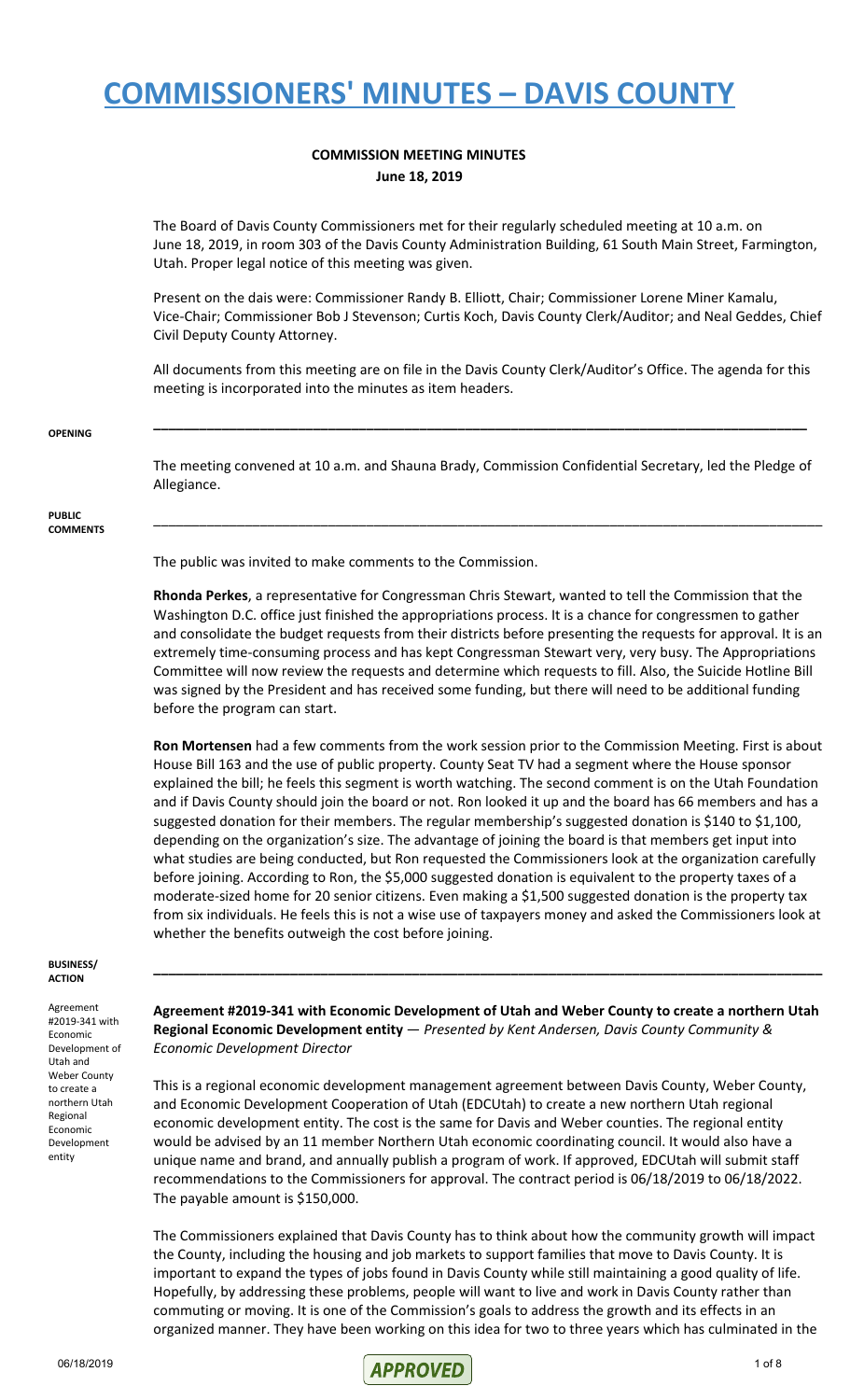#### **COMMISSION MEETING MINUTES June 18, 2019**

The Board of Davis County Commissioners met for their regularly scheduled meeting at 10 a.m. on June 18, 2019, in room 303 of the Davis County Administration Building, 61 South Main Street, Farmington, Utah. Proper legal notice of this meeting was given.

Present on the dais were: Commissioner Randy B. Elliott, Chair; Commissioner Lorene Miner Kamalu, Vice-Chair; Commissioner Bob J Stevenson; Curtis Koch, Davis County Clerk/Auditor; and Neal Geddes, Chief Civil Deputy County Attorney.

All documents from this meeting are on file in the Davis County Clerk/Auditor's Office. The agenda for this meeting is incorporated into the minutes as item headers.

**\_\_\_\_\_\_\_\_\_\_\_\_\_\_\_\_\_\_\_\_\_\_\_\_\_\_\_\_\_\_\_\_\_\_\_\_\_\_\_\_\_\_\_\_\_\_\_\_\_\_\_\_\_\_\_\_\_\_\_\_\_\_\_\_\_\_\_\_\_\_\_\_\_\_\_\_\_\_\_\_\_\_\_\_\_\_**

#### **OPENING**

The meeting convened at 10 a.m. and Shauna Brady, Commission Confidential Secretary, led the Pledge of Allegiance.

\_\_\_\_\_\_\_\_\_\_\_\_\_\_\_\_\_\_\_\_\_\_\_\_\_\_\_\_\_\_\_\_\_\_\_\_\_\_\_\_\_\_\_\_\_\_\_\_\_\_\_\_\_\_\_\_\_\_\_\_\_\_\_\_\_\_\_\_\_\_\_\_\_\_\_\_\_\_\_\_\_\_\_\_\_\_\_\_

#### **PUBLIC COMMENTS**

The public was invited to make comments to the Commission.

**Rhonda Perkes**, a representative for Congressman Chris Stewart, wanted to tell the Commission that the Washington D.C. office just finished the appropriations process. It is a chance for congressmen to gather and consolidate the budget requests from their districts before presenting the requests for approval. It is an extremely time-consuming process and has kept Congressman Stewart very, very busy. The Appropriations Committee will now review the requests and determine which requests to fill. Also, the Suicide Hotline Bill was signed by the President and has received some funding, but there will need to be additional funding before the program can start.

**Ron Mortensen** had a few comments from the work session prior to the Commission Meeting. First is about House Bill 163 and the use of public property. County Seat TV had a segment where the House sponsor explained the bill; he feels this segment is worth watching. The second comment is on the Utah Foundation and if Davis County should join the board or not. Ron looked it up and the board has 66 members and has a suggested donation for their members. The regular membership's suggested donation is \$140 to \$1,100, depending on the organization's size. The advantage of joining the board is that members get input into what studies are being conducted, but Ron requested the Commissioners look at the organization carefully before joining. According to Ron, the \$5,000 suggested donation is equivalent to the property taxes of a moderate-sized home for 20 senior citizens. Even making a \$1,500 suggested donation is the property tax from six individuals. He feels this is not a wise use of taxpayers money and asked the Commissioners look at whether the benefits outweigh the cost before joining.

#### **BUSINESS/ ACTION**

Agreement #2019-341 with Economic Development of Utah and Weber County to create a northern Utah Regional Economic Development entity

**Agreement #2019-341 with Economic Development of Utah and Weber County to create a northern Utah Regional Economic Development entity** — *Presented by Kent Andersen, Davis County Community & Economic Development Director*

**\_\_\_\_\_\_\_\_\_\_\_\_\_\_\_\_\_\_\_\_\_\_\_\_\_\_\_\_\_\_\_\_\_\_\_\_\_\_\_\_\_\_\_\_\_\_\_\_\_\_\_\_\_\_\_\_\_\_\_\_\_\_\_\_\_\_\_\_\_\_\_\_\_\_\_\_\_\_\_\_\_\_\_\_\_\_\_\_**

This is a regional economic development management agreement between Davis County, Weber County, and Economic Development Cooperation of Utah (EDCUtah) to create a new northern Utah regional economic development entity. The cost is the same for Davis and Weber counties. The regional entity would be advised by an 11 member Northern Utah economic coordinating council. It would also have a unique name and brand, and annually publish a program of work. If approved, EDCUtah will submit staff recommendations to the Commissioners for approval. The contract period is 06/18/2019 to 06/18/2022. The payable amount is \$150,000.

The Commissioners explained that Davis County has to think about how the community growth will impact the County, including the housing and job markets to support families that move to Davis County. It is important to expand the types of jobs found in Davis County while still maintaining a good quality of life. Hopefully, by addressing these problems, people will want to live and work in Davis County rather than commuting or moving. It is one of the Commission's goals to address the growth and its effects in an organized manner. They have been working on this idea for two to three years which has culminated in the

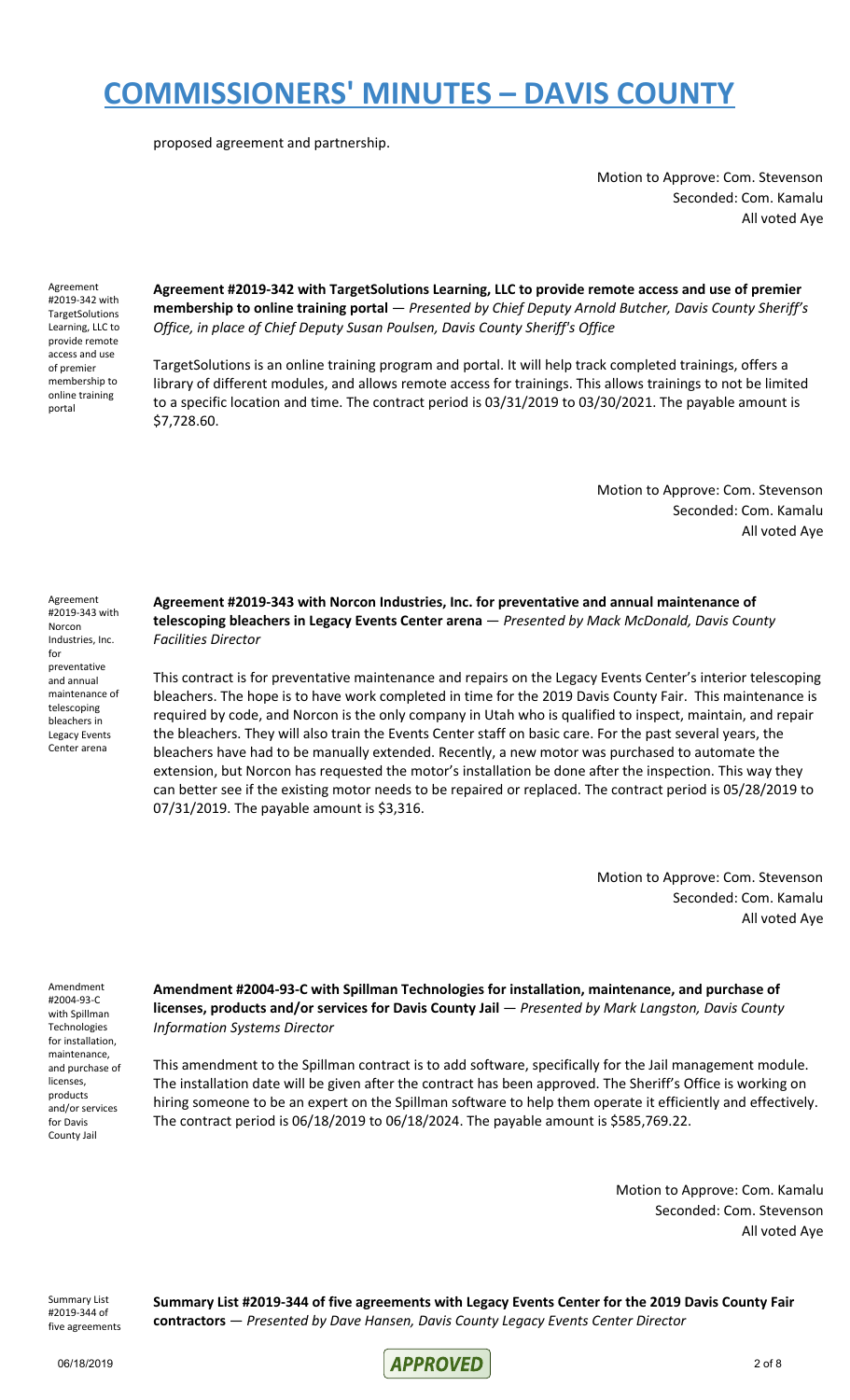proposed agreement and partnership.

Motion to Approve: Com. Stevenson Seconded: Com. Kamalu All voted Aye

Agreement #2019-342 with **TargetSolutions** Learning, LLC to provide remote access and use of premier membership to online training portal

**Agreement #2019-342 with TargetSolutions Learning, LLC to provide remote access and use of premier membership to online training portal** — *Presented by Chief Deputy Arnold Butcher, Davis County Sheriff's Office, in place of Chief Deputy Susan Poulsen, Davis County Sheriff's Office*

TargetSolutions is an online training program and portal. It will help track completed trainings, offers a library of different modules, and allows remote access for trainings. This allows trainings to not be limited to a specific location and time. The contract period is 03/31/2019 to 03/30/2021. The payable amount is \$7,728.60.

> Motion to Approve: Com. Stevenson Seconded: Com. Kamalu All voted Aye

Agreement #2019-343 with Norcon Industries, Inc. for preventative and annual maintenance of telescoping bleachers in Legacy Events Center arena

**Agreement #2019-343 with Norcon Industries, Inc. for preventative and annual maintenance of telescoping bleachers in Legacy Events Center arena** — *Presented by Mack McDonald, Davis County Facilities Director*

This contract is for preventative maintenance and repairs on the Legacy Events Center's interior telescoping bleachers. The hope is to have work completed in time for the 2019 Davis County Fair. This maintenance is required by code, and Norcon is the only company in Utah who is qualified to inspect, maintain, and repair the bleachers. They will also train the Events Center staff on basic care. For the past several years, the bleachers have had to be manually extended. Recently, a new motor was purchased to automate the extension, but Norcon has requested the motor's installation be done after the inspection. This way they can better see if the existing motor needs to be repaired or replaced. The contract period is 05/28/2019 to 07/31/2019. The payable amount is \$3,316.

> Motion to Approve: Com. Stevenson Seconded: Com. Kamalu All voted Aye

Amendment #2004-93-C with Spillman Technologies for installation, maintenance, and purchase of licenses, products and/or services for Davis County Jail

**Amendment #2004-93-C with Spillman Technologies for installation, maintenance, and purchase of licenses, products and/or services for Davis County Jail** — *Presented by Mark Langston, Davis County Information Systems Director*

This amendment to the Spillman contract is to add software, specifically for the Jail management module. The installation date will be given after the contract has been approved. The Sheriff's Office is working on hiring someone to be an expert on the Spillman software to help them operate it efficiently and effectively. The contract period is 06/18/2019 to 06/18/2024. The payable amount is \$585,769.22.

> Motion to Approve: Com. Kamalu Seconded: Com. Stevenson All voted Aye

Summary List #2019-344 of five agreements **Summary List #2019-344 of five agreements with Legacy Events Center for the 2019 Davis County Fair contractors** — *Presented by Dave Hansen, Davis County Legacy Events Center Director*

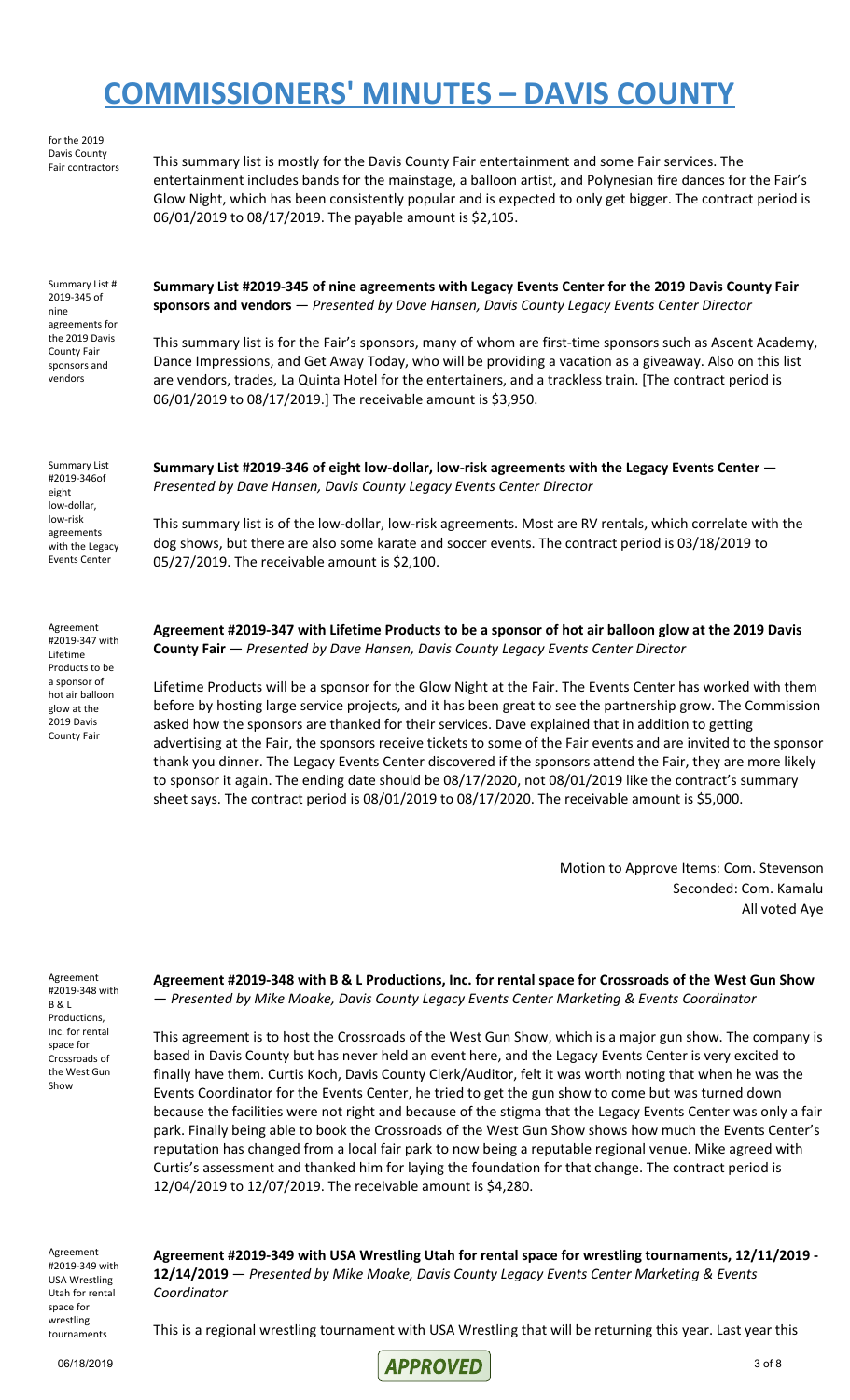for the 2019 Davis County

Fair contractors This summary list is mostly for the Davis County Fair entertainment and some Fair services. The entertainment includes bands for the mainstage, a balloon artist, and Polynesian fire dances for the Fair's Glow Night, which has been consistently popular and is expected to only get bigger. The contract period is 06/01/2019 to 08/17/2019. The payable amount is \$2,105.

Summary List # 2019-345 of nine agreements for the 2019 Davis County Fair sponsors and vendors

**Summary List #2019-345 of nine agreements with Legacy Events Center for the 2019 Davis County Fair sponsors and vendors** — *Presented by Dave Hansen, Davis County Legacy Events Center Director*

This summary list is for the Fair's sponsors, many of whom are first-time sponsors such as Ascent Academy, Dance Impressions, and Get Away Today, who will be providing a vacation as a giveaway. Also on this list are vendors, trades, La Quinta Hotel for the entertainers, and a trackless train. [The contract period is 06/01/2019 to 08/17/2019.] The receivable amount is \$3,950.

Summary List #2019-346of eight low-dollar, low-risk agreements with the Legacy Events Center

Agreement #2019-347 with Lifetime Products to be a sponsor of hot air balloon glow at the

2019 Davis County Fair **Summary List #2019-346 of eight low-dollar, low-risk agreements with the Legacy Events Center** — *Presented by Dave Hansen, Davis County Legacy Events Center Director*

This summary list is of the low-dollar, low-risk agreements. Most are RV rentals, which correlate with the dog shows, but there are also some karate and soccer events. The contract period is 03/18/2019 to 05/27/2019. The receivable amount is \$2,100.

Agreement #2019-347 with Lifetime Products to be a sponsor of hot air balloon glow at the 2019 Davis **County Fair** — *Presented by Dave Hansen, Davis County Legacy Events Center Director*

Lifetime Products will be a sponsor for the Glow Night at the Fair. The Events Center has worked with them before by hosting large service projects, and it has been great to see the partnership grow. The Commission asked how the sponsors are thanked for their services. Dave explained that in addition to getting advertising at the Fair, the sponsors receive tickets to some of the Fair events and are invited to the sponsor thank you dinner. The Legacy Events Center discovered if the sponsors attend the Fair, they are more likely to sponsor it again. The ending date should be 08/17/2020, not 08/01/2019 like the contract's summary sheet says. The contract period is 08/01/2019 to 08/17/2020. The receivable amount is \$5,000.

> Motion to Approve Items: Com. Stevenson Seconded: Com. Kamalu All voted Aye

Agreement #2019-348 with B & L Productions, Inc. for rental space for Crossroads of the West Gun Show

Agreement #2019-348 with B & L Productions, Inc. for rental space for Crossroads of the West Gun Show — *Presented by Mike Moake, Davis County Legacy Events Center Marketing & Events Coordinator*

This agreement is to host the Crossroads of the West Gun Show, which is a major gun show. The company is based in Davis County but has never held an event here, and the Legacy Events Center is very excited to finally have them. Curtis Koch, Davis County Clerk/Auditor, felt it was worth noting that when he was the Events Coordinator for the Events Center, he tried to get the gun show to come but was turned down because the facilities were not right and because of the stigma that the Legacy Events Center was only a fair park. Finally being able to book the Crossroads of the West Gun Show shows how much the Events Center's reputation has changed from a local fair park to now being a reputable regional venue. Mike agreed with Curtis's assessment and thanked him for laying the foundation for that change. The contract period is 12/04/2019 to 12/07/2019. The receivable amount is \$4,280.

Agreement #2019-349 with USA Wrestling Utah for rental space for wrestling tournaments

**Agreement #2019-349 with USA Wrestling Utah for rental space for wrestling tournaments, 12/11/2019 - 12/14/2019** — *Presented by Mike Moake, Davis County Legacy Events Center Marketing & Events Coordinator*

This is a regional wrestling tournament with USA Wrestling that will be returning this year. Last year this

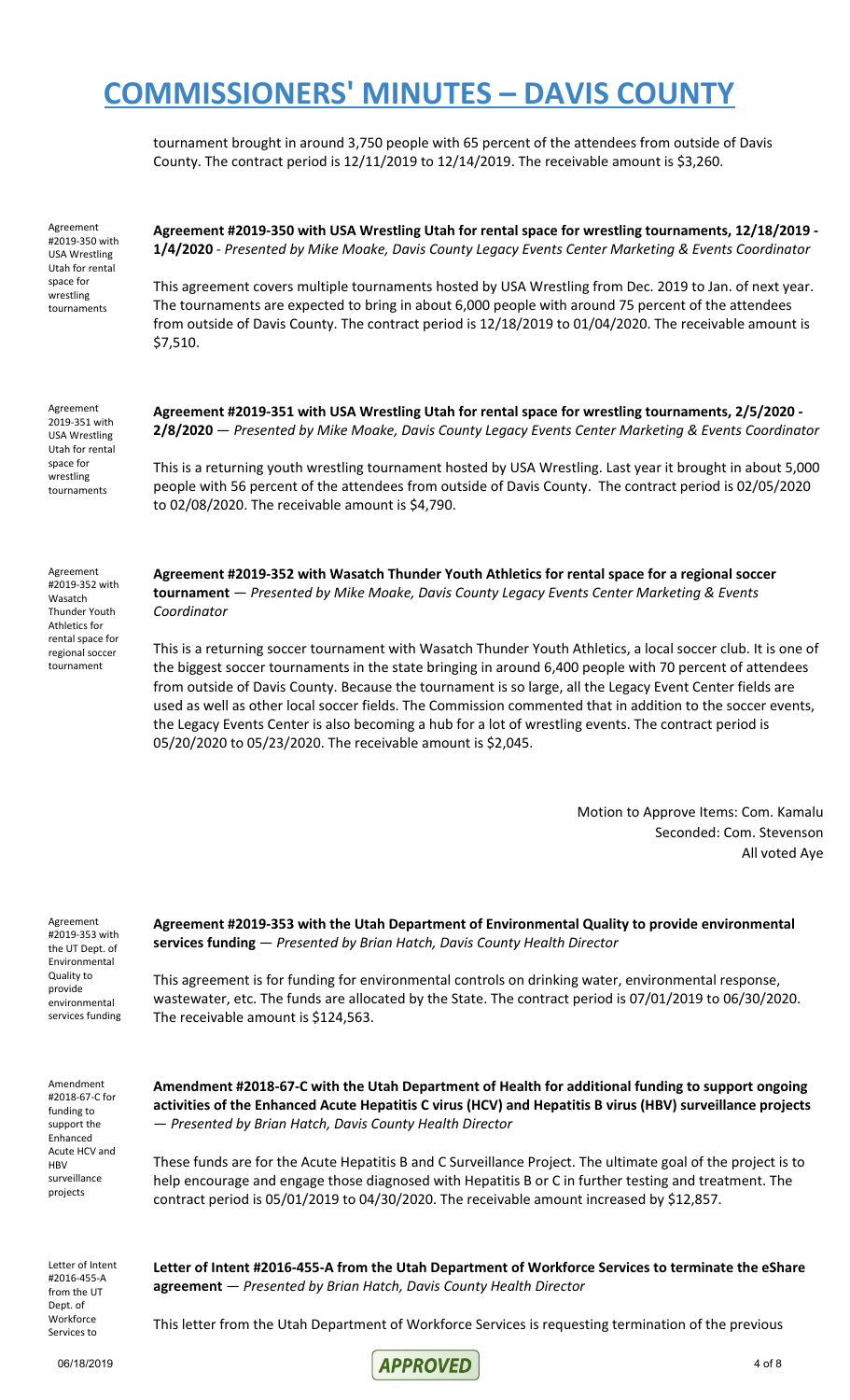tournament brought in around 3,750 people with 65 percent of the attendees from outside of Davis County. The contract period is 12/11/2019 to 12/14/2019. The receivable amount is \$3,260.

Agreement #2019-350 with USA Wrestling Utah for rental space for wrestling tournaments

**Agreement #2019-350 with USA Wrestling Utah for rental space for wrestling tournaments, 12/18/2019 - 1/4/2020** - *Presented by Mike Moake, Davis County Legacy Events Center Marketing & Events Coordinator*

This agreement covers multiple tournaments hosted by USA Wrestling from Dec. 2019 to Jan. of next year. The tournaments are expected to bring in about 6,000 people with around 75 percent of the attendees from outside of Davis County. The contract period is 12/18/2019 to 01/04/2020. The receivable amount is \$7,510.

Agreement 2019-351 with USA Wrestling Utah for rental space for wrestling tournaments

**Agreement #2019-351 with USA Wrestling Utah for rental space for wrestling tournaments, 2/5/2020 - 2/8/2020** — *Presented by Mike Moake, Davis County Legacy Events Center Marketing & Events Coordinator*

This is a returning youth wrestling tournament hosted by USA Wrestling. Last year it brought in about 5,000 people with 56 percent of the attendees from outside of Davis County. The contract period is 02/05/2020 to 02/08/2020. The receivable amount is \$4,790.

Agreement #2019-352 with Wasatch Thunder Youth Athletics for rental space for regional soccer tournament

**Agreement #2019-352 with Wasatch Thunder Youth Athletics for rental space for a regional soccer tournament** — *Presented by Mike Moake, Davis County Legacy Events Center Marketing & Events Coordinator*

This is a returning soccer tournament with Wasatch Thunder Youth Athletics, a local soccer club. It is one of the biggest soccer tournaments in the state bringing in around 6,400 people with 70 percent of attendees from outside of Davis County. Because the tournament is so large, all the Legacy Event Center fields are used as well as other local soccer fields. The Commission commented that in addition to the soccer events, the Legacy Events Center is also becoming a hub for a lot of wrestling events. The contract period is 05/20/2020 to 05/23/2020. The receivable amount is \$2,045.

> Motion to Approve Items: Com. Kamalu Seconded: Com. Stevenson All voted Aye

Agreement #2019-353 with the UT Dept. of Environmental Quality to provide environmental services funding **Agreement #2019-353 with the Utah Department of Environmental Quality to provide environmental services funding** — *Presented by Brian Hatch, Davis County Health Director*

This agreement is for funding for environmental controls on drinking water, environmental response, wastewater, etc. The funds are allocated by the State. The contract period is 07/01/2019 to 06/30/2020. The receivable amount is \$124,563.

Amendment #2018-67-C for funding to support the Enhanced Acute HCV and HBV surveillance projects

**Amendment #2018-67-C with the Utah Department of Health for additional funding to support ongoing activities of the Enhanced Acute Hepatitis C virus (HCV) and Hepatitis B virus (HBV) surveillance projects** — *Presented by Brian Hatch, Davis County Health Director*

These funds are for the Acute Hepatitis B and C Surveillance Project. The ultimate goal of the project is to help encourage and engage those diagnosed with Hepatitis B or C in further testing and treatment. The contract period is 05/01/2019 to 04/30/2020. The receivable amount increased by \$12,857.

Letter of Intent #2016-455-A from the UT Dept. of **Workforce** Services to

**Letter of Intent #2016-455-A from the Utah Department of Workforce Services to terminate the eShare agreement** — *Presented by Brian Hatch, Davis County Health Director*

This letter from the Utah Department of Workforce Services is requesting termination of the previous

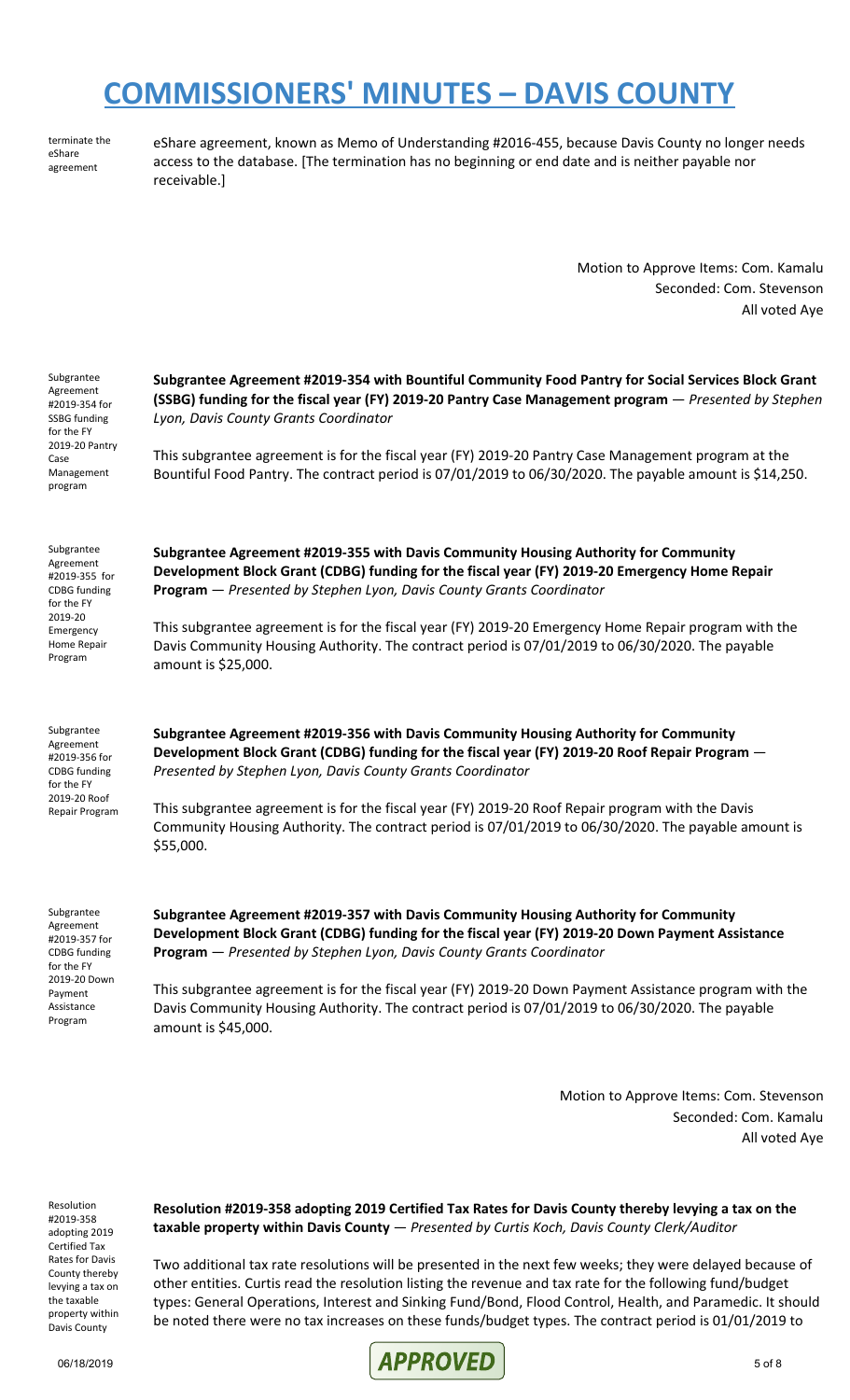terminate the eShare agreement

eShare agreement, known as Memo of Understanding #2016-455, because Davis County no longer needs access to the database. [The termination has no beginning or end date and is neither payable nor receivable.]

> Motion to Approve Items: Com. Kamalu Seconded: Com. Stevenson All voted Aye

| Subgrantee<br>Agreement<br>#2019-354 for<br>SSBG funding<br>for the FY<br>2019-20 Pantry<br>Case<br>Management<br>program         | Subgrantee Agreement #2019-354 with Bountiful Community Food Pantry for Social Services Block Grant<br>(SSBG) funding for the fiscal year (FY) 2019-20 Pantry Case Management program - Presented by Stephen<br>Lyon, Davis County Grants Coordinator<br>This subgrantee agreement is for the fiscal year (FY) 2019-20 Pantry Case Management program at the<br>Bountiful Food Pantry. The contract period is 07/01/2019 to 06/30/2020. The payable amount is \$14,250.                            |
|-----------------------------------------------------------------------------------------------------------------------------------|----------------------------------------------------------------------------------------------------------------------------------------------------------------------------------------------------------------------------------------------------------------------------------------------------------------------------------------------------------------------------------------------------------------------------------------------------------------------------------------------------|
| Subgrantee<br>Agreement<br>#2019-355 for<br><b>CDBG</b> funding<br>for the FY<br>2019-20<br>Emergency<br>Home Repair<br>Program   | Subgrantee Agreement #2019-355 with Davis Community Housing Authority for Community<br>Development Block Grant (CDBG) funding for the fiscal year (FY) 2019-20 Emergency Home Repair<br>Program - Presented by Stephen Lyon, Davis County Grants Coordinator<br>This subgrantee agreement is for the fiscal year (FY) 2019-20 Emergency Home Repair program with the<br>Davis Community Housing Authority. The contract period is 07/01/2019 to 06/30/2020. The payable<br>amount is \$25,000.     |
| Subgrantee<br>Agreement<br>#2019-356 for<br><b>CDBG</b> funding<br>for the FY<br>2019-20 Roof<br>Repair Program                   | Subgrantee Agreement #2019-356 with Davis Community Housing Authority for Community<br>Development Block Grant (CDBG) funding for the fiscal year (FY) 2019-20 Roof Repair Program -<br>Presented by Stephen Lyon, Davis County Grants Coordinator<br>This subgrantee agreement is for the fiscal year (FY) 2019-20 Roof Repair program with the Davis<br>Community Housing Authority. The contract period is 07/01/2019 to 06/30/2020. The payable amount is<br>\$55,000.                         |
| Subgrantee<br>Agreement<br>#2019-357 for<br><b>CDBG</b> funding<br>for the FY<br>2019-20 Down<br>Payment<br>Assistance<br>Program | Subgrantee Agreement #2019-357 with Davis Community Housing Authority for Community<br>Development Block Grant (CDBG) funding for the fiscal year (FY) 2019-20 Down Payment Assistance<br>Program - Presented by Stephen Lyon, Davis County Grants Coordinator<br>This subgrantee agreement is for the fiscal year (FY) 2019-20 Down Payment Assistance program with the<br>Davis Community Housing Authority. The contract period is 07/01/2019 to 06/30/2020. The payable<br>amount is \$45,000. |
|                                                                                                                                   | Motion to Annroya Itams: Cam, Stevenson                                                                                                                                                                                                                                                                                                                                                                                                                                                            |

Motion to Approve Items: Com. Stevenson Seconded: Com. Kamalu All voted Aye

Resolution #2019-358 adopting 2019 Certified Tax Rates for Davis County thereby levying a tax on the taxable property within Davis County

**Resolution #2019-358 adopting 2019 Certified Tax Rates for Davis County thereby levying a tax on the taxable property within Davis County** — *Presented by Curtis Koch, Davis County Clerk/Auditor*

Two additional tax rate resolutions will be presented in the next few weeks; they were delayed because of other entities. Curtis read the resolution listing the revenue and tax rate for the following fund/budget types: General Operations, Interest and Sinking Fund/Bond, Flood Control, Health, and Paramedic. It should be noted there were no tax increases on these funds/budget types. The contract period is 01/01/2019 to

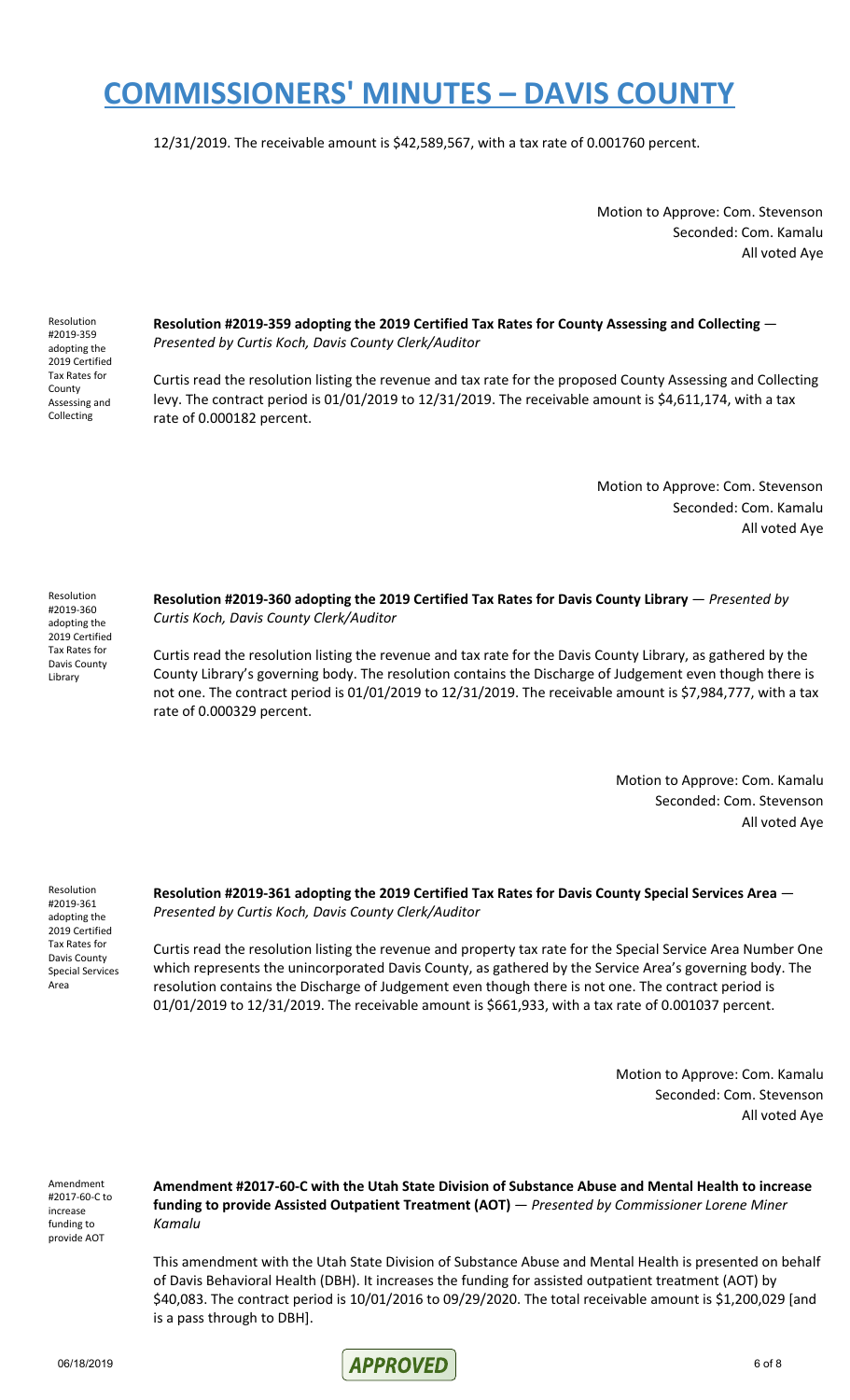12/31/2019. The receivable amount is \$42,589,567, with a tax rate of 0.001760 percent.

Motion to Approve: Com. Stevenson Seconded: Com. Kamalu All voted Aye

Resolution #2019-359 adopting the 2019 Certified Tax Rates for County Assessing and Collecting

**Resolution #2019-359 adopting the 2019 Certified Tax Rates for County Assessing and Collecting** — *Presented by Curtis Koch, Davis County Clerk/Auditor*

Curtis read the resolution listing the revenue and tax rate for the proposed County Assessing and Collecting levy. The contract period is 01/01/2019 to 12/31/2019. The receivable amount is \$4,611,174, with a tax rate of 0.000182 percent.

> Motion to Approve: Com. Stevenson Seconded: Com. Kamalu All voted Aye

Resolution #2019-360 adopting the 2019 Certified Tax Rates for Davis County Library

**Resolution #2019-360 adopting the 2019 Certified Tax Rates for Davis County Library** — *Presented by Curtis Koch, Davis County Clerk/Auditor*

Curtis read the resolution listing the revenue and tax rate for the Davis County Library, as gathered by the County Library's governing body. The resolution contains the Discharge of Judgement even though there is not one. The contract period is 01/01/2019 to 12/31/2019. The receivable amount is \$7,984,777, with a tax rate of 0.000329 percent.

> Motion to Approve: Com. Kamalu Seconded: Com. Stevenson All voted Aye

Resolution #2019-361 adopting the 2019 Certified Tax Rates for Davis County Special Services Area

**Resolution #2019-361 adopting the 2019 Certified Tax Rates for Davis County Special Services Area** — *Presented by Curtis Koch, Davis County Clerk/Auditor*

Curtis read the resolution listing the revenue and property tax rate for the Special Service Area Number One which represents the unincorporated Davis County, as gathered by the Service Area's governing body. The resolution contains the Discharge of Judgement even though there is not one. The contract period is 01/01/2019 to 12/31/2019. The receivable amount is \$661,933, with a tax rate of 0.001037 percent.

> Motion to Approve: Com. Kamalu Seconded: Com. Stevenson All voted Aye

Amendment #2017-60-C to increase funding to provide AOT

**Amendment #2017-60-C with the Utah State Division of Substance Abuse and Mental Health to increase funding to provide Assisted Outpatient Treatment (AOT)** — *Presented by Commissioner Lorene Miner Kamalu*

This amendment with the Utah State Division of Substance Abuse and Mental Health is presented on behalf of Davis Behavioral Health (DBH). It increases the funding for assisted outpatient treatment (AOT) by \$40,083. The contract period is 10/01/2016 to 09/29/2020. The total receivable amount is \$1,200,029 [and is a pass through to DBH].

06/18/2019 **APPROVED** 6 of 8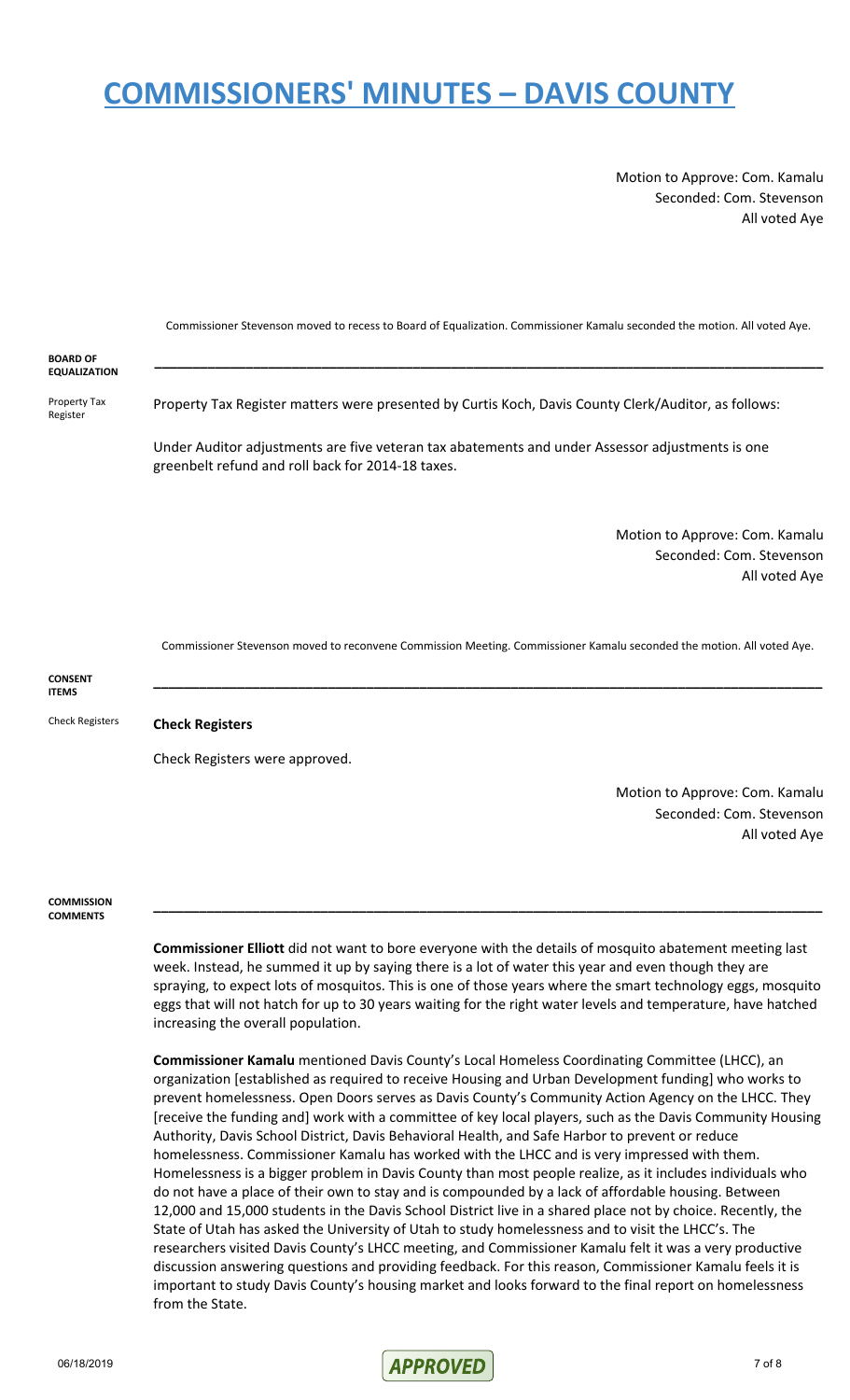Motion to Approve: Com. Kamalu Seconded: Com. Stevenson All voted Aye

Commissioner Stevenson moved to recess to Board of Equalization. Commissioner Kamalu seconded the motion. All voted Aye. **BOARD OF EQUALIZATION \_\_\_\_\_\_\_\_\_\_\_\_\_\_\_\_\_\_\_\_\_\_\_\_\_\_\_\_\_\_\_\_\_\_\_\_\_\_\_\_\_\_\_\_\_\_\_\_\_\_\_\_\_\_\_\_\_\_\_\_\_\_\_\_\_\_\_\_\_\_\_\_\_\_\_\_\_\_\_\_\_\_\_\_\_\_\_\_** Property Tax Register Property Tax Register matters were presented by Curtis Koch, Davis County Clerk/Auditor, as follows: Under Auditor adjustments are five veteran tax abatements and under Assessor adjustments is one greenbelt refund and roll back for 2014-18 taxes. Motion to Approve: Com. Kamalu Seconded: Com. Stevenson All voted Aye

Commissioner Stevenson moved to reconvene Commission Meeting. Commissioner Kamalu seconded the motion. All voted Aye.

**\_\_\_\_\_\_\_\_\_\_\_\_\_\_\_\_\_\_\_\_\_\_\_\_\_\_\_\_\_\_\_\_\_\_\_\_\_\_\_\_\_\_\_\_\_\_\_\_\_\_\_\_\_\_\_\_\_\_\_\_\_\_\_\_\_\_\_\_\_\_\_\_\_\_\_\_\_\_\_\_\_\_\_\_\_\_\_\_**

**CONSENT ITEMS**

Check Registers **Check Registers**

Check Registers were approved.

Motion to Approve: Com. Kamalu Seconded: Com. Stevenson All voted Aye

**COMMISSION COMMENTS**

> **Commissioner Elliott** did not want to bore everyone with the details of mosquito abatement meeting last week. Instead, he summed it up by saying there is a lot of water this year and even though they are spraying, to expect lots of mosquitos. This is one of those years where the smart technology eggs, mosquito eggs that will not hatch for up to 30 years waiting for the right water levels and temperature, have hatched increasing the overall population.

> **\_\_\_\_\_\_\_\_\_\_\_\_\_\_\_\_\_\_\_\_\_\_\_\_\_\_\_\_\_\_\_\_\_\_\_\_\_\_\_\_\_\_\_\_\_\_\_\_\_\_\_\_\_\_\_\_\_\_\_\_\_\_\_\_\_\_\_\_\_\_\_\_\_\_\_\_\_\_\_\_\_\_\_\_\_\_\_\_**

**Commissioner Kamalu** mentioned Davis County's Local Homeless Coordinating Committee (LHCC), an organization [established as required to receive Housing and Urban Development funding] who works to prevent homelessness. Open Doors serves as Davis County's Community Action Agency on the LHCC. They [receive the funding and] work with a committee of key local players, such as the Davis Community Housing Authority, Davis School District, Davis Behavioral Health, and Safe Harbor to prevent or reduce homelessness. Commissioner Kamalu has worked with the LHCC and is very impressed with them. Homelessness is a bigger problem in Davis County than most people realize, as it includes individuals who do not have a place of their own to stay and is compounded by a lack of affordable housing. Between 12,000 and 15,000 students in the Davis School District live in a shared place not by choice. Recently, the State of Utah has asked the University of Utah to study homelessness and to visit the LHCC's. The researchers visited Davis County's LHCC meeting, and Commissioner Kamalu felt it was a very productive discussion answering questions and providing feedback. For this reason, Commissioner Kamalu feels it is important to study Davis County's housing market and looks forward to the final report on homelessness from the State.